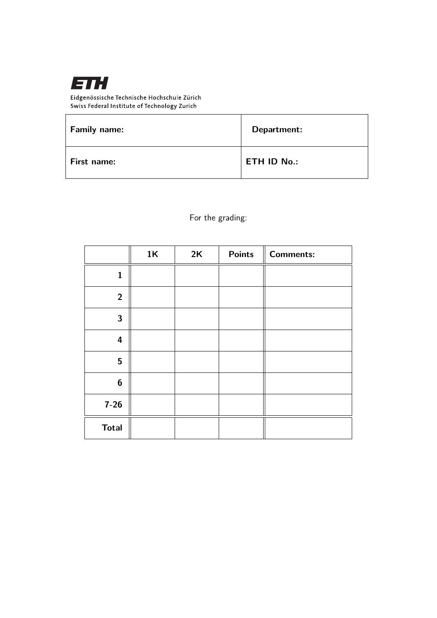

Eidgenössische Technische Hochschule Zürich Swiss Federal Institute of Technology Zurich

| <b>Family name:</b> | Department:        |
|---------------------|--------------------|
| First name:         | <b>ETH ID No.:</b> |

For the grading:

|                         | 1K | 2K | <b>Points</b> | <b>Comments:</b> |
|-------------------------|----|----|---------------|------------------|
| $\mathbf{1}$            |    |    |               |                  |
| $\overline{2}$          |    |    |               |                  |
| $\mathbf{3}$            |    |    |               |                  |
| $\overline{\mathbf{4}}$ |    |    |               |                  |
| 5                       |    |    |               |                  |
| $\boldsymbol{6}$        |    |    |               |                  |
| $7 - 26$                |    |    |               |                  |
| <b>Total</b>            |    |    |               |                  |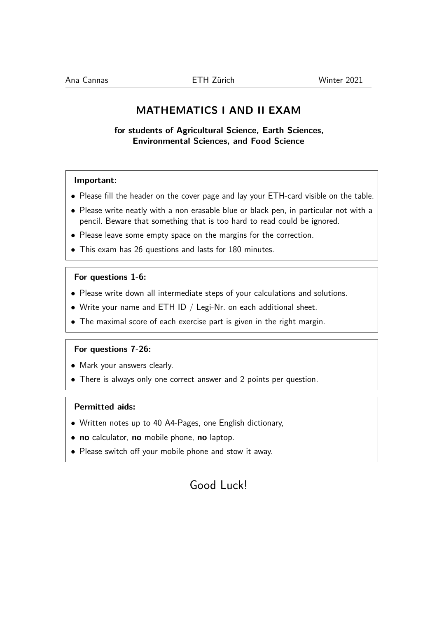# **MATHEMATICS I AND II EXAM**

**for students of Agricultural Science, Earth Sciences, Environmental Sciences, and Food Science**

## **Important:**

- Please fill the header on the cover page and lay your ETH-card visible on the table.
- Please write neatly with a non erasable blue or black pen, in particular not with a pencil. Beware that something that is too hard to read could be ignored.
- Please leave some empty space on the margins for the correction.
- This exam has 26 questions and lasts for 180 minutes.

#### **For questions 1-6:**

- Please write down all intermediate steps of your calculations and solutions.
- Write your name and ETH ID  $/$  Legi-Nr. on each additional sheet.
- The maximal score of each exercise part is given in the right margin.

#### **For questions 7-26:**

- Mark your answers clearly.
- There is always only one correct answer and 2 points per question.

## **Permitted aids:**

- Written notes up to 40 A4-Pages, one English dictionary,
- **no** calculator, **no** mobile phone, **no** laptop.
- Please switch off your mobile phone and stow it away.

# Good Luck!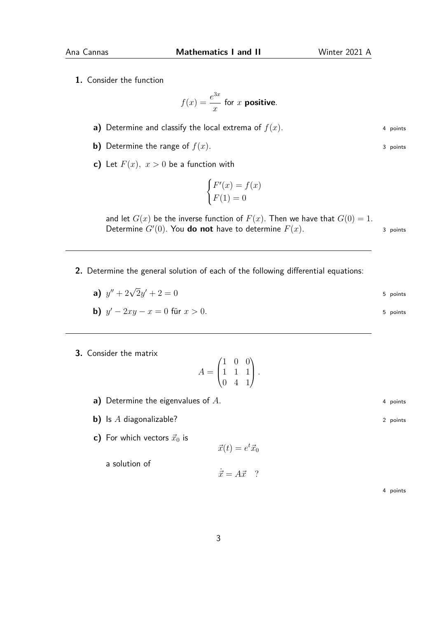**1.** Consider the function

$$
f(x) = \frac{e^{3x}}{x}
$$
 for x positive.

- **a)** Determine and classify the local extrema of  $f(x)$ . 4 points
- **b)** Determine the range of  $f(x)$ . 3 points
- **c)** Let  $F(x)$ ,  $x > 0$  be a function with

$$
\begin{cases} F'(x) = f(x) \\ F(1) = 0 \end{cases}
$$

and let  $G(x)$  be the inverse function of  $F(x)$ . Then we have that  $G(0) = 1$ . Determine  $G'(0)$ . You **do not** have to determine  $F(x)$ . 3 points

**2.** Determine the general solution of each of the following differential equations:

**a)** 
$$
y'' + 2\sqrt{2}y' + 2 = 0
$$
  
\n**b)**  $y' - 2xy - x = 0$  für  $x > 0$ .  
\n5 points  
\n5 points

**3.** Consider the matrix

$$
A = \begin{pmatrix} 1 & 0 & 0 \\ 1 & 1 & 1 \\ 0 & 4 & 1 \end{pmatrix}.
$$

- **a)** Determine the eigenvalues of *A*. 4 points 4 points
- **b)** Is *A* diagonalizable? 2 points
- **c)** For which vectors  $\vec{x}_0$  is

a solution of

 $\vec{x}(t) = e^t \vec{x}_0$ 

 $\dot{\vec{x}} = A\vec{x}$  ?

4 points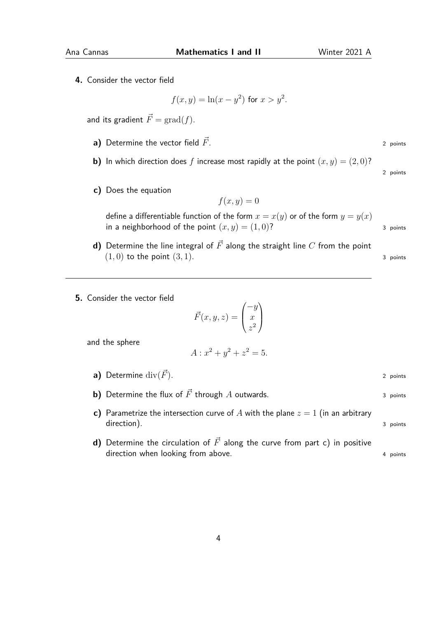**4.** Consider the vector field

$$
f(x, y) = \ln(x - y^2)
$$
 for  $x > y^2$ .

and its gradient  $\vec{F} = \text{grad}(f)$ .

- **a)** Determine the vector field  $\vec{F}$ . 2 points
- **b)** In which direction does f increase most rapidly at the point  $(x, y) = (2, 0)$ ?
- **c)** Does the equation

$$
f(x,y) = 0
$$

define a differentiable function of the form  $x = x(y)$  or of the form  $y = y(x)$ in a neighborhood of the point  $(x, y) = (1, 0)$ ? 3 points

- **d)** Determine the line integral of  $\vec{F}$  along the straight line  $C$  from the point  $(1,0)$  to the point  $(3,1)$ . 3 points
- **5.** Consider the vector field

$$
\vec{F}(x, y, z) = \begin{pmatrix} -y \\ x \\ z^2 \end{pmatrix}
$$

and the sphere

$$
A: x^2 + y^2 + z^2 = 5.
$$

- **a)** Determine  $\text{div}(\vec{F})$ . 2 points
- **b)** Determine the flux of  $\vec{F}$  through *A* outwards. 3 points
- **c)** Parametrize the intersection curve of A with the plane  $z = 1$  (in an arbitrary direction). 3 points
- **d)** Determine the circulation of  $\vec{F}$  along the curve from part c) in positive direction when looking from above. 4 points 4 points

2 points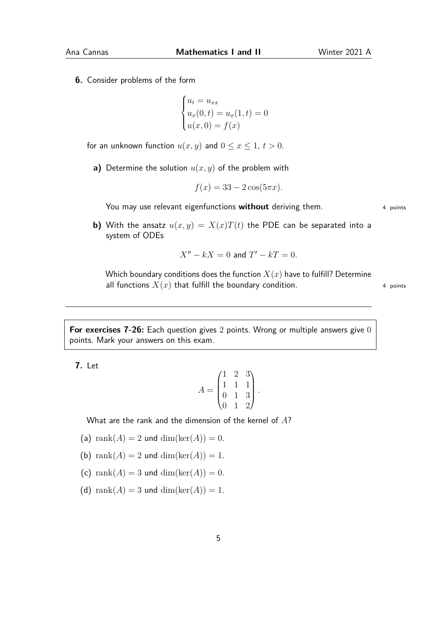**6.** Consider problems of the form

$$
\begin{cases} u_t = u_{xx} \\ u_x(0, t) = u_x(1, t) = 0 \\ u(x, 0) = f(x) \end{cases}
$$

for an unknown function  $u(x, y)$  and  $0 \le x \le 1$ ,  $t > 0$ .

**a)** Determine the solution *u*(*x, y*) of the problem with

$$
f(x) = 33 - 2\cos(5\pi x).
$$

You may use relevant eigenfunctions **without** deriving them. 4 points

**b)** With the ansatz  $u(x, y) = X(x)T(t)$  the PDE can be separated into a system of ODEs

$$
X'' - kX = 0
$$
 and 
$$
T' - kT = 0.
$$

Which boundary conditions does the function  $X(x)$  have to fulfill? Determine all functions  $X(x)$  that fulfill the boundary condition.  $4$  points

**For exercises 7-26:** Each question gives 2 points. Wrong or multiple answers give 0 points. Mark your answers on this exam.

**7.** Let

$$
A = \begin{pmatrix} 1 & 2 & 3 \\ 1 & 1 & 1 \\ 0 & 1 & 3 \\ 0 & 1 & 2 \end{pmatrix}.
$$

What are the rank and the dimension of the kernel of *A*?

(a) rank $(A) = 2$  und dim $(\ker(A)) = 0$ .

- (b) rank $(A) = 2$  und dim $(\ker(A)) = 1$ .
- (c) rank $(A) = 3$  und dim $(\ker(A)) = 0$ .
- (d) rank $(A) = 3$  und dim $(\ker(A)) = 1$ .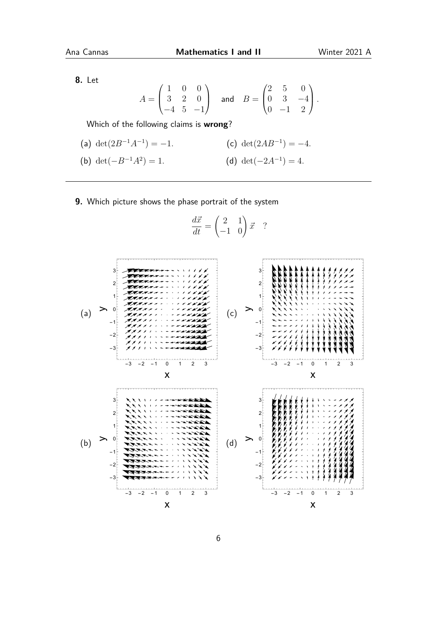**8.** Let

$$
A = \begin{pmatrix} 1 & 0 & 0 \\ 3 & 2 & 0 \\ -4 & 5 & -1 \end{pmatrix} \quad \text{and} \quad B = \begin{pmatrix} 2 & 5 & 0 \\ 0 & 3 & -4 \\ 0 & -1 & 2 \end{pmatrix}.
$$

Which of the following claims is **wrong**?

- (a)  $\det(2B^{-1}A^{-1}) = -1.$  (c)  $\det(2AB^{-1}) = -4.$ (b)  $\det(-B^{-1}A^2) = 1$ . (d) det( $-2A^{-1}$ ) = 4*.*
- **9.** Which picture shows the phase portrait of the system

$$
\frac{d\vec{x}}{dt} = \begin{pmatrix} 2 & 1 \\ -1 & 0 \end{pmatrix} \vec{x} \quad ?
$$

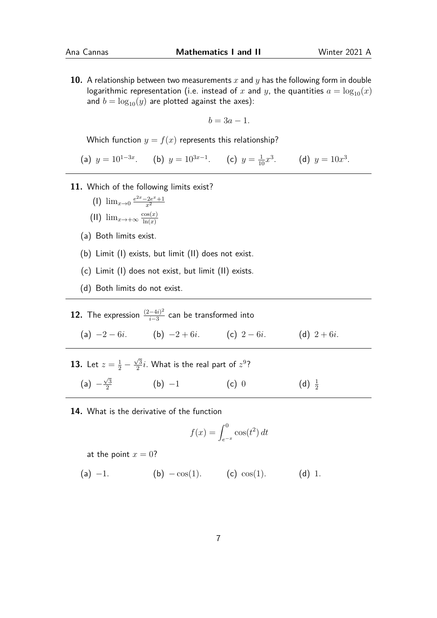**10.** A relationship between two measurements *x* and *y* has the following form in double logarithmic representation (i.e. instead of x and y, the quantities  $a = \log_{10}(x)$ and  $b = \log_{10}(y)$  are plotted against the axes):

$$
b=3a-1.
$$

Which function  $y = f(x)$  represents this relationship?

(a)  $y = 10^{1-3x}$ . (b)  $y = 10^{3x-1}$ . (c)  $y = \frac{1}{10}x^3$ . (d)  $y = 10x^3$ .

- **11.** Which of the following limits exist?
	- (1)  $\lim_{x\to 0} \frac{e^{2x}-2e^x+1}{x^2}$ *x*2

(II) 
$$
\lim_{x \to +\infty} \frac{\cos(x)}{\ln(x)}
$$

- (a) Both limits exist.
- (b) Limit (I) exists, but limit (II) does not exist.
- (c) Limit (I) does not exist, but limit (II) exists.
- (d) Both limits do not exist.

**12.** The expression  $\frac{(2-4i)^2}{i-3}$  $\frac{-4i)^2}{i-3}$  can be transformed into (a)  $-2 - 6i$ . (b)  $-2 + 6i$ . (c)  $2 - 6i$ . (d)  $2 + 6i$ .

- **13.** Let  $z = \frac{1}{2}$   $\sqrt{3}$  $\frac{\sqrt{3}}{2}i$ . What is the real part of  $z^9$ ?  $(a) \sqrt{3}$ 2 (b)  $-1$  (c) 0 (d)  $\frac{1}{2}$
- **14.** What is the derivative of the function

$$
f(x) = \int_{e^{-x}}^{0} \cos(t^2) dt
$$

at the point  $x = 0$ ?

(a)  $-1$ . (b)  $-\cos(1)$ . (c)  $\cos(1)$ . (d) 1.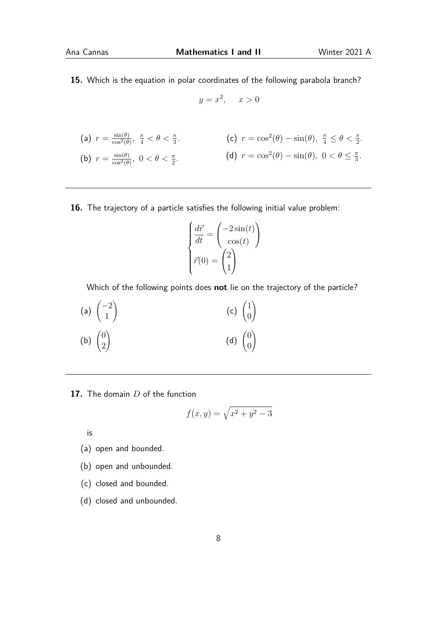**15.** Which is the equation in polar coordinates of the following parabola branch?

$$
y = x^2, \quad x > 0
$$

$$
\begin{array}{ll}\n\text{(a) } r = \frac{\sin(\theta)}{\cos^2(\theta)}, \frac{\pi}{4} < \theta < \frac{\pi}{3}.\n\end{array}\n\quad\n\begin{array}{ll}\n\text{(c) } r = \cos^2(\theta) - \sin(\theta), \frac{\pi}{4} \le \theta < \frac{\pi}{2}.\n\end{array}
$$
\n
$$
\begin{array}{ll}\n\text{(b) } r = \frac{\sin(\theta)}{\cos^2(\theta)}, \ 0 < \theta < \frac{\pi}{2}.\n\end{array}\n\quad\n\begin{array}{ll}\n\text{(d) } r = \cos^2(\theta) - \sin(\theta), \ 0 < \theta \le \frac{\pi}{3}.\n\end{array}
$$

**16.** The trajectory of a particle satisfies the following initial value problem:

$$
\begin{cases}\n\frac{d\vec{r}}{dt} = \begin{pmatrix}\n-2\sin(t) \\
\cos(t)\n\end{pmatrix} \\
\vec{r}(0) = \begin{pmatrix}\n2 \\
1\n\end{pmatrix}\n\end{cases}
$$

Which of the following points does **not** lie on the trajectory of the particle?

(a) 
$$
\begin{pmatrix} -2 \\ 1 \end{pmatrix}
$$
 (c)  $\begin{pmatrix} 1 \\ 0 \end{pmatrix}$   
\n(b)  $\begin{pmatrix} 0 \\ 2 \end{pmatrix}$  (d)  $\begin{pmatrix} 0 \\ 0 \end{pmatrix}$ 

**17.** The domain *D* of the function

$$
f(x,y) = \sqrt{x^2 + y^2 - 3}
$$

is

- (a) open and bounded.
- (b) open and unbounded.
- (c) closed and bounded.
- (d) closed and unbounded.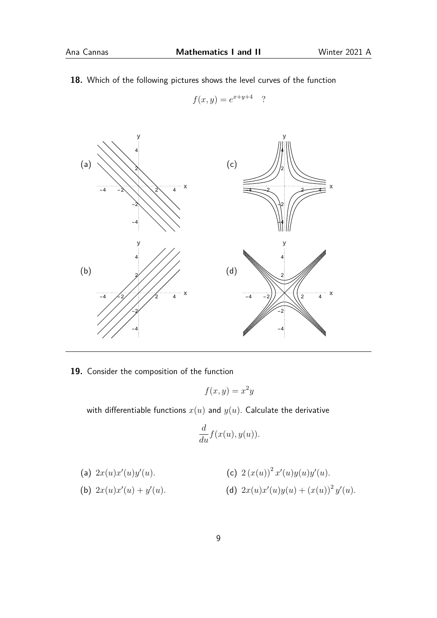**18.** Which of the following pictures shows the level curves of the function

$$
f(x,y) = e^{x+y+4}
$$

*<sup>x</sup>*+*y*+4 ?



**19.** Consider the composition of the function

$$
f(x,y) = x^2y
$$

with differentiable functions  $x(u)$  and  $y(u)$ . Calculate the derivative

$$
\frac{d}{du}f(x(u),y(u)).
$$

(a) 
$$
2x(u)x'(u)y'(u)
$$
.  
\n(b)  $2x(u)x'(u) + y'(u)$ .  
\n(c)  $2(x(u))^2 x'(u)y(u)y'(u)$ .  
\n(d)  $2x(u)x'(u)y(u) + (x(u))^2 y'(u)$ .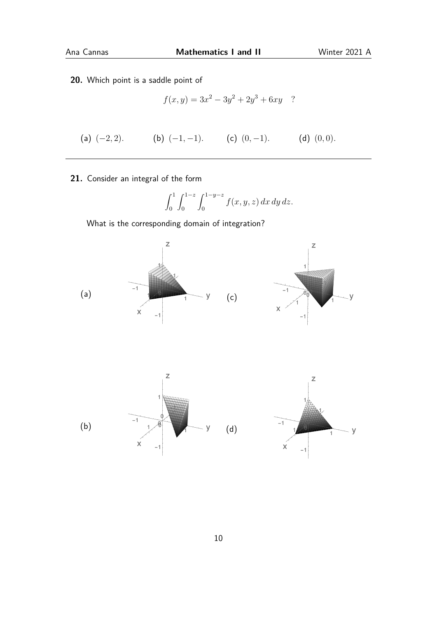**20.** Which point is a saddle point of

$$
f(x, y) = 3x^2 - 3y^2 + 2y^3 + 6xy
$$
?

(a)  $(-2, 2)$ *.* (b)  $(-1, -1)$ *.* (c)  $(0, -1)$ *.* (d)  $(0, 0)$ *.* 

**21.** Consider an integral of the form

$$
\int_0^1 \int_0^{1-z} \int_0^{1-y-z} f(x, y, z) \, dx \, dy \, dz.
$$

What is the corresponding domain of integration?





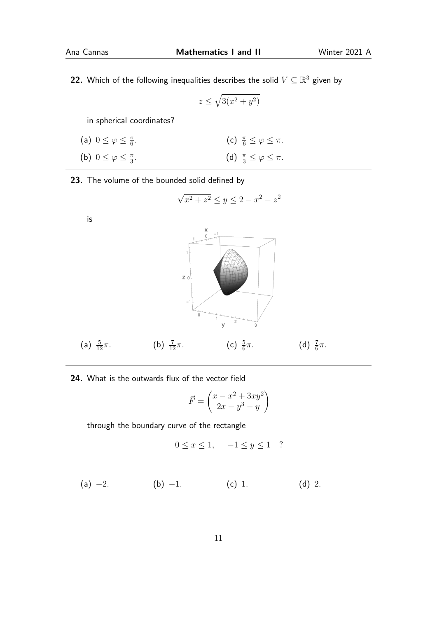**22.** Which of the following inequalities describes the solid  $V \subseteq \mathbb{R}^3$  given by

$$
z \le \sqrt{3(x^2 + y^2)}
$$

in spherical coordinates?

| (a) $0 \leq \varphi \leq \frac{\pi}{6}$ . | (c) $\frac{\pi}{6} \leq \varphi \leq \pi$ . |
|-------------------------------------------|---------------------------------------------|
| (b) $0 \leq \varphi \leq \frac{\pi}{3}$ . | (d) $\frac{\pi}{3} \leq \varphi \leq \pi$ . |

**23.** The volume of the bounded solid defined by

$$
\sqrt{x^2 + z^2} \le y \le 2 - x^2 - z^2
$$



**24.** What is the outwards flux of the vector field

$$
\vec{F} = \begin{pmatrix} x - x^2 + 3xy^2 \\ 2x - y^3 - y \end{pmatrix}
$$

through the boundary curve of the rectangle

$$
0 \le x \le 1, \quad -1 \le y \le 1 \quad ?
$$

(a) 
$$
-2
$$
. (b)  $-1$ . (c) 1. (d) 2.